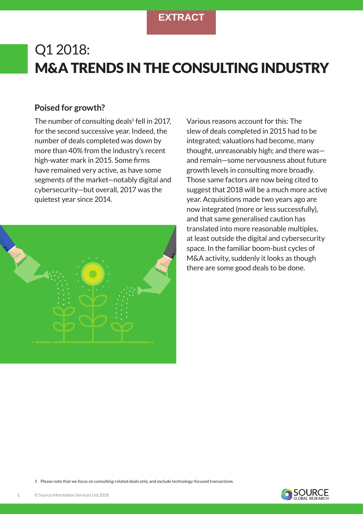# Q1 2018: M&A TRENDS IN THE CONSULTING INDUSTRY

## **Poised for growth?**

The number of consulting deals $1$  fell in 2017, for the second successive year. Indeed, the number of deals completed was down by more than 40% from the industry's recent high-water mark in 2015. Some firms have remained very active, as have some segments of the market—notably digital and cybersecurity—but overall, 2017 was the quietest year since 2014.



Various reasons account for this: The slew of deals completed in 2015 had to be integrated; valuations had become, many thought, unreasonably high; and there was and remain—some nervousness about future growth levels in consulting more broadly. Those same factors are now being cited to suggest that 2018 will be a much more active year. Acquisitions made two years ago are now integrated (more or less successfully), and that same generalised caution has translated into more reasonable multiples, at least outside the digital and cybersecurity space. In the familiar boom-bust cycles of M&A activity, suddenly it looks as though there are some good deals to be done.

1 Please note that we focus on consulting-related deals only, and exclude technology-focused transactions.

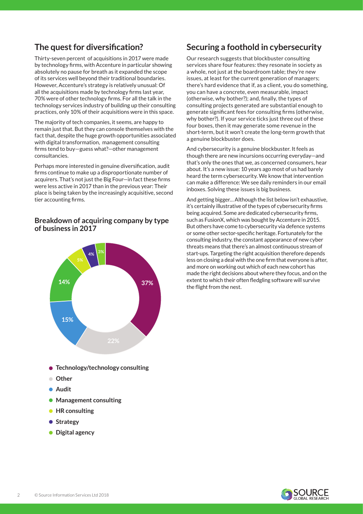## **The quest for diversification?**

Thirty-seven percent of acquisitions in 2017 were made by technology firms, with Accenture in particular showing absolutely no pause for breath as it expanded the scope of its services well beyond their traditional boundaries. However, Accenture's strategy is relatively unusual: Of all the acquisitions made by technology firms Iast year, 70% were of other technology firms. For all the talk in the technology services industry of building up their consulting practices, only 10% of their acquisitions were in this space.

The majority of tech companies, it seems, are happy to remain just that. But they can console themselves with the fact that, despite the huge growth opportunities associated with digital transformation, management consulting firms tend to buy—guess what?—other management consultancies.

Perhaps more interested in genuine diversification, audit firms continue to make up a disproportionate number of acquirers. That's not just the Big Four—in fact these firms were less active in 2017 than in the previous year: Their place is being taken by the increasingly acquisitive, second tier accounting firms.

### **Breakdown of acquiring company by type of business in 2017**



**Technology/technology consulting**

- **Other**
- **Audit**
- **Management consulting**
- **HR consulting**
- **•** Strategy
- **Digital agency**

## **Securing a foothold in cybersecurity**

Our research suggests that blockbuster consulting services share four features: they resonate in society as a whole, not just at the boardroom table; they're new issues, at least for the current generation of managers; there's hard evidence that if, as a client, you do something, you can have a concrete, even measurable, impact (otherwise, why bother?); and, finally, the types of consulting projects generated are substantial enough to generate significant fees for consulting firms (otherwise, why bother?). If your service ticks just three out of these four boxes, then it may generate some revenue in the short-term, but it won't create the long-term growth that a genuine blockbuster does.

And cybersecurity is a genuine blockbuster. It feels as though there are new incursions occurring everyday—and that's only the ones that we, as concerned consumers, hear about. It's a new issue: 10 years ago most of us had barely heard the term cybersecurity. We know that intervention can make a difference: We see daily reminders in our email inboxes. Solving these issues is big business.

And getting bigger… Although the list below isn't exhaustive, it's certainly illustrative of the types of cybersecurity firms being acquired. Some are dedicated cybersecurity firms, such as FusionX, which was bought by Accenture in 2015. But others have come to cybersecurity via defence systems or some other sector-specific heritage. Fortunately for the consulting industry, the constant appearance of new cyber threats means that there's an almost continuous stream of start-ups. Targeting the right acquisition therefore depends less on closing a deal with the one firm that everyone is after, and more on working out which of each new cohort has made the right decisions about where they focus, and on the extent to which their often fledgling software will survive the flight from the nest.

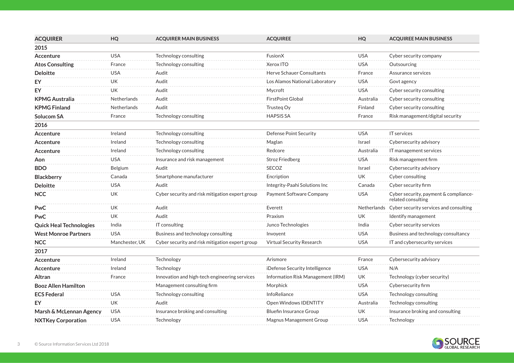| <b>ACQUIRER</b>                | HQ                 | <b>ACQUIRER MAIN BUSINESS</b>                   | <b>ACQUIREE</b>                   | HQ         | <b>ACQUIREE MAIN BUSINESS</b>                               |
|--------------------------------|--------------------|-------------------------------------------------|-----------------------------------|------------|-------------------------------------------------------------|
| 2015                           |                    |                                                 |                                   |            |                                                             |
| <b>Accenture</b>               | <b>USA</b>         | Technology consulting                           | FusionX                           | <b>USA</b> | Cyber security company                                      |
| <b>Atos Consulting</b>         | France             | Technology consulting                           | Xerox ITO                         | <b>USA</b> | Outsourcing                                                 |
| <b>Deloitte</b>                | <b>USA</b>         | Audit                                           | Herve Schauer Consultants         | France     | Assurance services                                          |
| <b>EY</b>                      | UK.                | Audit                                           | Los Alamos National Laboratory    | <b>USA</b> | Govt agency                                                 |
| EY                             | UK                 | Audit                                           | Mycroft                           | <b>USA</b> | Cyber security consulting                                   |
| <b>KPMG Australia</b>          | <b>Netherlands</b> | Audit                                           | <b>FirstPoint Global</b>          | Australia  | Cyber security consulting                                   |
| <b>KPMG Finland</b>            | <b>Netherlands</b> | Audit                                           | Trusteg Oy                        | Finland    | Cyber security consulting                                   |
| <b>Solucom SA</b>              | France             | Technology consulting                           | <b>HAPSIS SA</b>                  | France     | Risk management/digital security                            |
| 2016                           |                    |                                                 |                                   |            |                                                             |
| <b>Accenture</b>               | Ireland            | Technology consulting                           | Defense Point Security            | <b>USA</b> | IT services                                                 |
| Accenture                      | Ireland            | Technology consulting                           | Maglan                            | Israel     | Cybersecurity advisory                                      |
| <b>Accenture</b>               | Ireland            | Technology consulting                           | Redcore                           | Australia  | IT management services                                      |
| Aon                            | USA                | Insurance and risk management                   | <b>Stroz Friedberg</b>            | <b>USA</b> | Risk management firm                                        |
| <b>BDO</b>                     | Belgium            | Audit                                           | SECOZ                             | Israel     | Cybersecurity advisory                                      |
| <b>Blackberry</b>              | Canada             | Smartphone manufacturer                         | Encription                        | <b>UK</b>  | Cyber consulting                                            |
| <b>Deloitte</b>                | <b>USA</b>         | Audit                                           | Integrity-Paahi Solutions Inc     | Canada     | Cyber security firm                                         |
| <b>NCC</b>                     | UK                 | Cyber security and risk mitigation expert group | Payment Software Company          | <b>USA</b> | Cyber security, payment & compliance-<br>related consulting |
| PwC                            | <b>UK</b>          | Audit                                           | Everett                           |            | Netherlands Cyber security services and consulting          |
| <b>PwC</b>                     | UK                 | Audit                                           | Praxism                           | UΚ         | Identify management                                         |
| <b>Quick Heal Technologies</b> | India              | IT consulting                                   | Junco Technologies                | India      | Cyber security services                                     |
| <b>West Monroe Partners</b>    | <b>USA</b>         | Business and technology consulting              | Invoyent                          | <b>USA</b> | Business and technology consultancy                         |
| <b>NCC</b>                     | Manchester, UK     | Cyber security and risk mitigation expert group | Virtual Security Research         | <b>USA</b> | IT and cybersecurity services                               |
| 2017                           |                    |                                                 |                                   |            |                                                             |
| Accenture                      | Ireland            | Technology                                      | Arismore                          | France     | Cybersecurity advisory                                      |
| Accenture                      | Ireland            | Technology                                      | iDefense Security Intelligence    | <b>USA</b> | N/A                                                         |
| Altran                         | France             | Innovation and high-tech engineering services   | Information Risk Management (IRM) | UK         | Technology (cyber security)                                 |
| <b>Booz Allen Hamilton</b>     |                    | Management consulting firm                      | Morphick                          | <b>USA</b> | Cybersecurity firm                                          |
| <b>ECS Federal</b>             | <b>USA</b>         | Technology consulting                           | InfoReliance                      | <b>USA</b> | Technology consulting                                       |
| EY                             | UK                 | Audit                                           | Open Windows IDENTITY             | Australia  | Technology consulting                                       |
| Marsh & McLennan Agency        | <b>USA</b>         | Insurance broking and consulting                | <b>Bluefin Insurance Group</b>    | UK         | Insurance broking and consulting                            |
| <b>NXTKey Corporation</b>      | <b>USA</b>         | Technology                                      | Magnus Management Group           | <b>USA</b> | Technology                                                  |
|                                |                    |                                                 |                                   |            |                                                             |